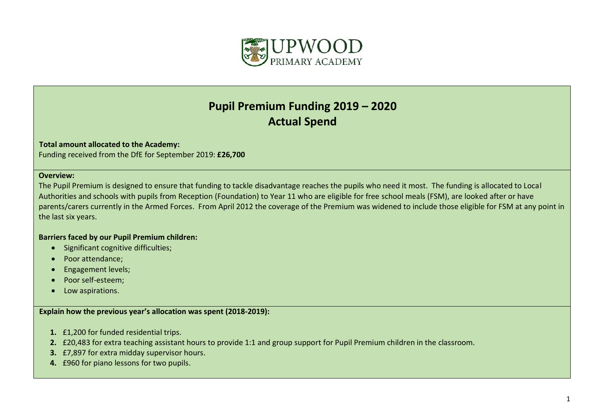

## **Pupil Premium Funding 2019 – 2020 Actual Spend**

## **Total amount allocated to the Academy:**

Funding received from the DfE for September 2019: **£26,700**

## **Overview:**

The Pupil Premium is designed to ensure that funding to tackle disadvantage reaches the pupils who need it most. The funding is allocated to Local Authorities and schools with pupils from Reception (Foundation) to Year 11 who are eligible for free school meals (FSM), are looked after or have parents/carers currently in the Armed Forces. From April 2012 the coverage of the Premium was widened to include those eligible for FSM at any point in the last six years.

## **Barriers faced by our Pupil Premium children:**

- Significant cognitive difficulties;
- Poor attendance;
- **•** Engagement levels;
- Poor self-esteem;
- Low aspirations.

**Explain how the previous year's allocation was spent (2018-2019):**

- **1.** £1,200 for funded residential trips.
- **2.** £20,483 for extra teaching assistant hours to provide 1:1 and group support for Pupil Premium children in the classroom.
- **3.** £7,897 for extra midday supervisor hours.
- **4.** £960 for piano lessons for two pupils.